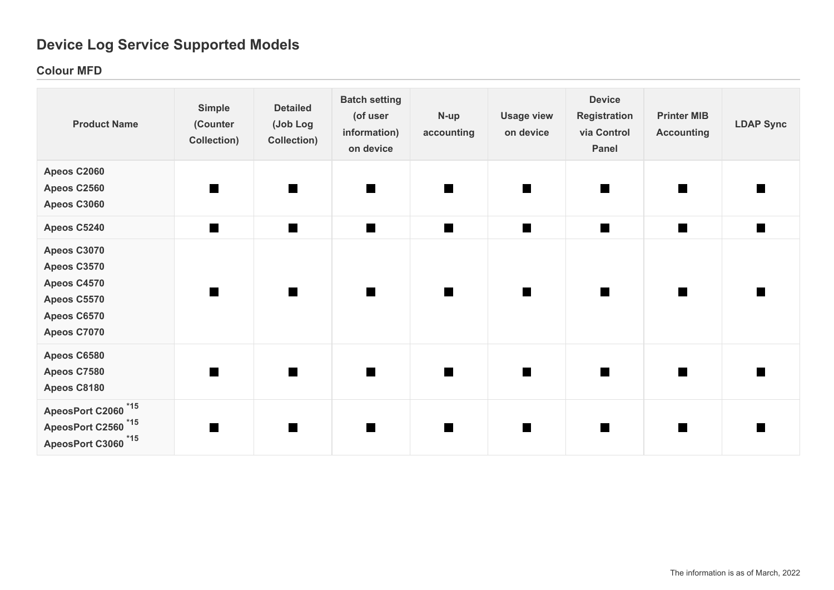# **Device Log Service Supported Models**

## **Colour MFD**

| <b>Product Name</b>                                                                                | <b>Simple</b><br>(Counter<br>Collection) | <b>Detailed</b><br>(Job Log<br>Collection) | <b>Batch setting</b><br>(of user<br>information)<br>on device | N-up<br>accounting | <b>Usage view</b><br>on device | <b>Device</b><br><b>Registration</b><br>via Control<br>Panel | <b>Printer MIB</b><br><b>Accounting</b> | <b>LDAP Sync</b> |
|----------------------------------------------------------------------------------------------------|------------------------------------------|--------------------------------------------|---------------------------------------------------------------|--------------------|--------------------------------|--------------------------------------------------------------|-----------------------------------------|------------------|
| Apeos C2060<br>Apeos C2560<br>Apeos C3060                                                          |                                          | $\blacksquare$                             | $\blacksquare$                                                |                    | m                              |                                                              |                                         |                  |
| Apeos C5240                                                                                        | $\blacksquare$                           | $\blacksquare$                             | $\blacksquare$                                                | $\blacksquare$     | <b>Tall</b>                    | $\blacksquare$                                               | $\blacksquare$                          | $\mathcal{L}$    |
| Apeos C3070<br>Apeos C3570<br>Apeos C4570<br>Apeos C5570<br>Apeos C6570<br>Apeos C7070             | n                                        |                                            | <b>Take</b>                                                   | m                  | $\blacksquare$                 | $\blacksquare$                                               | $\blacksquare$                          |                  |
| Apeos C6580<br>Apeos C7580<br>Apeos C8180                                                          | n                                        | $\blacksquare$                             | $\blacksquare$                                                | H.                 | $\blacksquare$                 | $\blacksquare$                                               | <b>TER</b>                              |                  |
| ApeosPort C2060 <sup>*15</sup><br>ApeosPort C2560 <sup>*15</sup><br>ApeosPort C3060 <sup>*15</sup> |                                          |                                            |                                                               |                    |                                |                                                              |                                         |                  |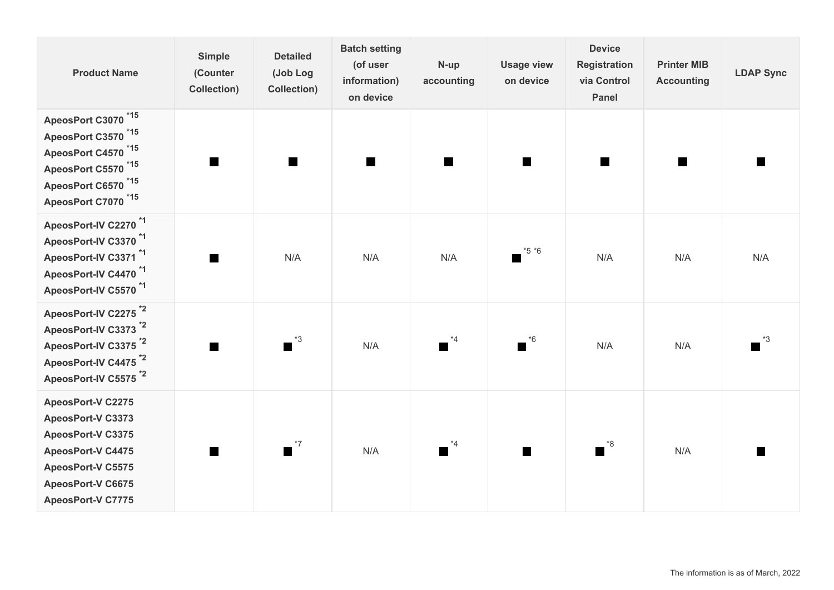| <b>Product Name</b>                                                                                                                                                                                | <b>Simple</b><br>(Counter<br><b>Collection)</b> | <b>Detailed</b><br>(Job Log<br>Collection) | <b>Batch setting</b><br>(of user<br>information)<br>on device | N-up<br>accounting             | <b>Usage view</b><br>on device | <b>Device</b><br><b>Registration</b><br>via Control<br><b>Panel</b> | <b>Printer MIB</b><br><b>Accounting</b> | <b>LDAP Sync</b>    |
|----------------------------------------------------------------------------------------------------------------------------------------------------------------------------------------------------|-------------------------------------------------|--------------------------------------------|---------------------------------------------------------------|--------------------------------|--------------------------------|---------------------------------------------------------------------|-----------------------------------------|---------------------|
| ApeosPort C3070 <sup>*15</sup><br>$*15$<br>ApeosPort C3570<br>ApeosPort C4570 <sup>*15</sup><br>ApeosPort C5570 <sup>*15</sup><br>ApeosPort C6570 <sup>*15</sup><br>ApeosPort C7070 <sup>*15</sup> |                                                 | $\blacksquare$                             | $\blacksquare$                                                |                                | $\blacksquare$                 | $\blacksquare$                                                      |                                         |                     |
| ApeosPort-IV C2270 <sup>*1</sup><br>ApeosPort-IV C3370 <sup>*1</sup><br>ApeosPort-IV C3371*1<br>ApeosPort-IV C4470 <sup>*1</sup><br>ApeosPort-IV C5570 <sup>*1</sup>                               |                                                 | N/A                                        | N/A                                                           | N/A                            | $*5 *6$                        | N/A                                                                 | N/A                                     | N/A                 |
| ApeosPort-IV C2275 <sup>*2</sup><br>ApeosPort-IV C3373 <sup>*2</sup><br>ApeosPort-IV C3375 <sup>*2</sup><br>ApeosPort-IV C4475 <sup>*2</sup><br>ApeosPort-IV C5575 <sup>*2</sup>                   |                                                 | $\overline{\phantom{a}}^{*3}$              | N/A                                                           | *4<br><b>The Second Second</b> | $\overline{\phantom{a}}^{*6}$  | N/A                                                                 | N/A                                     | *3                  |
| <b>ApeosPort-V C2275</b><br>ApeosPort-V C3373<br>ApeosPort-V C3375<br>ApeosPort-V C4475<br>ApeosPort-V C5575<br>ApeosPort-V C6675<br><b>ApeosPort-V C7775</b>                                      | <b>The Second Second</b>                        | $\blacksquare$ <sup>*7</sup>               | N/A                                                           | *4                             | <b>The Second Second</b>       | $\bullet$ <sup>*8</sup>                                             | N/A                                     | <b>In the first</b> |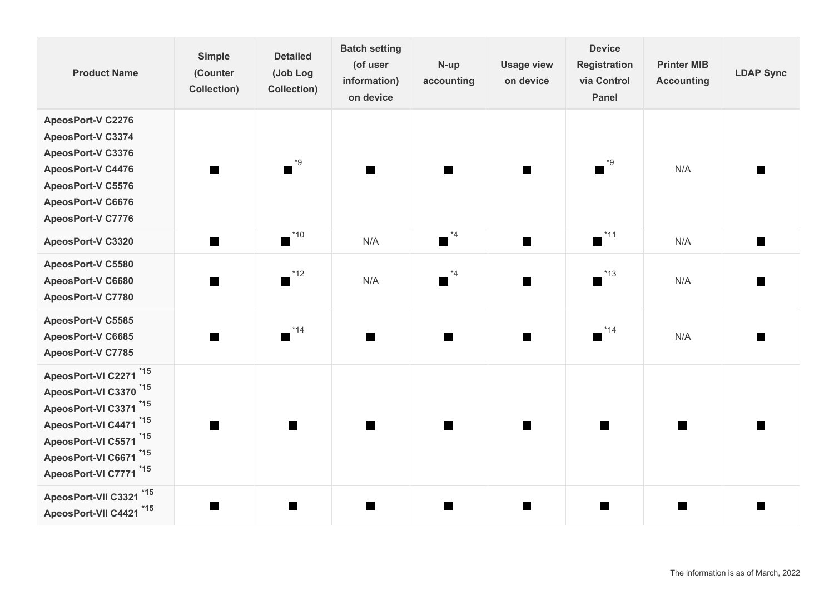| <b>Product Name</b>                                                                                                                                                                           | <b>Simple</b><br>(Counter<br><b>Collection)</b> | <b>Detailed</b><br>(Job Log<br>Collection) | <b>Batch setting</b><br>(of user<br>information)<br>on device | N-up<br>accounting | <b>Usage view</b><br>on device | <b>Device</b><br><b>Registration</b><br>via Control<br><b>Panel</b> | <b>Printer MIB</b><br><b>Accounting</b> | <b>LDAP Sync</b> |
|-----------------------------------------------------------------------------------------------------------------------------------------------------------------------------------------------|-------------------------------------------------|--------------------------------------------|---------------------------------------------------------------|--------------------|--------------------------------|---------------------------------------------------------------------|-----------------------------------------|------------------|
| <b>ApeosPort-V C2276</b><br>ApeosPort-V C3374<br>ApeosPort-V C3376<br>ApeosPort-V C4476<br>ApeosPort-V C5576<br>ApeosPort-V C6676<br>ApeosPort-V C7776                                        | <b>The Second</b>                               | *9<br>M.                                   | $\blacksquare$                                                | <b>COL</b>         |                                | *9                                                                  | N/A                                     |                  |
| ApeosPort-V C3320                                                                                                                                                                             | $\blacksquare$                                  | $*10$<br><b>The State</b>                  | N/A                                                           | $*4$<br>П          | $\blacksquare$                 | $*11$                                                               | N/A                                     | ш                |
| ApeosPort-V C5580<br>ApeosPort-V C6680<br>ApeosPort-V C7780                                                                                                                                   | <b>The Second</b>                               | $*12$                                      | N/A                                                           | $*4$<br>m          | I III                          | $*13$                                                               | N/A                                     |                  |
| ApeosPort-V C5585<br>ApeosPort-V C6685<br>ApeosPort-V C7785                                                                                                                                   |                                                 | $*14$                                      | $\overline{\phantom{a}}$                                      |                    | I III                          | $*14$                                                               | N/A                                     |                  |
| ApeosPort-VI C2271 *15<br>ApeosPort-VI C3370 <sup>*15</sup><br>ApeosPort-VI C3371 *15<br>ApeosPort-VI C4471 *15<br>ApeosPort-VI C5571 *15<br>ApeosPort-VI C6671 *15<br>ApeosPort-VI C7771 *15 | <b>COL</b>                                      |                                            | <b>The State</b>                                              | <b>COL</b>         |                                |                                                                     | m                                       |                  |
| ApeosPort-VII C3321 *15<br>ApeosPort-VII C4421 *15                                                                                                                                            |                                                 |                                            |                                                               |                    |                                |                                                                     | m                                       |                  |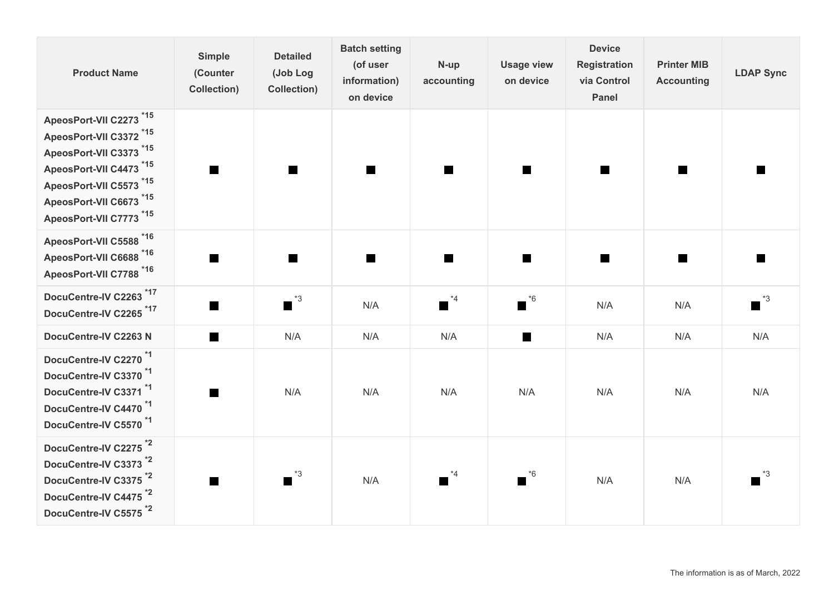| <b>Product Name</b>                                                                                                                                                                                  | <b>Simple</b><br>(Counter<br><b>Collection)</b> | <b>Detailed</b><br>(Job Log<br>Collection) | <b>Batch setting</b><br>(of user<br>information)<br>on device | N-up<br>accounting                        | <b>Usage view</b><br>on device | <b>Device</b><br><b>Registration</b><br>via Control<br><b>Panel</b> | <b>Printer MIB</b><br><b>Accounting</b> | <b>LDAP Sync</b>        |
|------------------------------------------------------------------------------------------------------------------------------------------------------------------------------------------------------|-------------------------------------------------|--------------------------------------------|---------------------------------------------------------------|-------------------------------------------|--------------------------------|---------------------------------------------------------------------|-----------------------------------------|-------------------------|
| ApeosPort-VII C2273 *15<br>ApeosPort-VII C3372 <sup>*15</sup><br>ApeosPort-VII C3373 *15<br>ApeosPort-VII C4473 *15<br>ApeosPort-VII C5573 *15<br>ApeosPort-VII C6673 *15<br>ApeosPort-VII C7773 *15 | $\blacksquare$                                  | H.                                         | <b>The State</b>                                              | m                                         | <b>The Second Second</b>       | <b>The Second</b>                                                   | m.                                      |                         |
| ApeosPort-VII C5588 *16<br>ApeosPort-VII C6688 *16<br>ApeosPort-VII C7788 *16                                                                                                                        |                                                 | E                                          |                                                               |                                           |                                |                                                                     | <b>STAR</b>                             |                         |
| DocuCentre-IV C2263 <sup>*17</sup><br>DocuCentre-IV C2265 <sup>*17</sup>                                                                                                                             | $\blacksquare$                                  | $^*3$<br>$\blacksquare$                    | N/A                                                           | $^{\ast}4$<br>$\mathcal{L}_{\mathcal{A}}$ | $\overline{\phantom{a}}^{*6}$  | N/A                                                                 | N/A                                     | $^*3$<br>$\blacksquare$ |
| DocuCentre-IV C2263 N                                                                                                                                                                                | $\blacksquare$                                  | N/A                                        | N/A                                                           | N/A                                       | ш                              | N/A                                                                 | N/A                                     | N/A                     |
| DocuCentre-IV C2270 <sup>*1</sup><br>DocuCentre-IV C3370 <sup>*1</sup><br>DocuCentre-IV C3371 <sup>*1</sup><br>DocuCentre-IV C4470 <sup>*1</sup><br>DocuCentre-IV C5570 <sup>*1</sup>                | ш                                               | N/A                                        | N/A                                                           | N/A                                       | N/A                            | N/A                                                                 | N/A                                     | N/A                     |
| DocuCentre-IV C2275 <sup>*2</sup><br>DocuCentre-IV C3373 <sup>*2</sup><br>DocuCentre-IV C3375 <sup>*2</sup><br>DocuCentre-IV C4475 <sup>*2</sup><br>DocuCentre-IV C5575 <sup>*2</sup>                |                                                 | $*3$                                       | N/A                                                           | $*_{4}$                                   | $*6$                           | N/A                                                                 | N/A                                     | *3                      |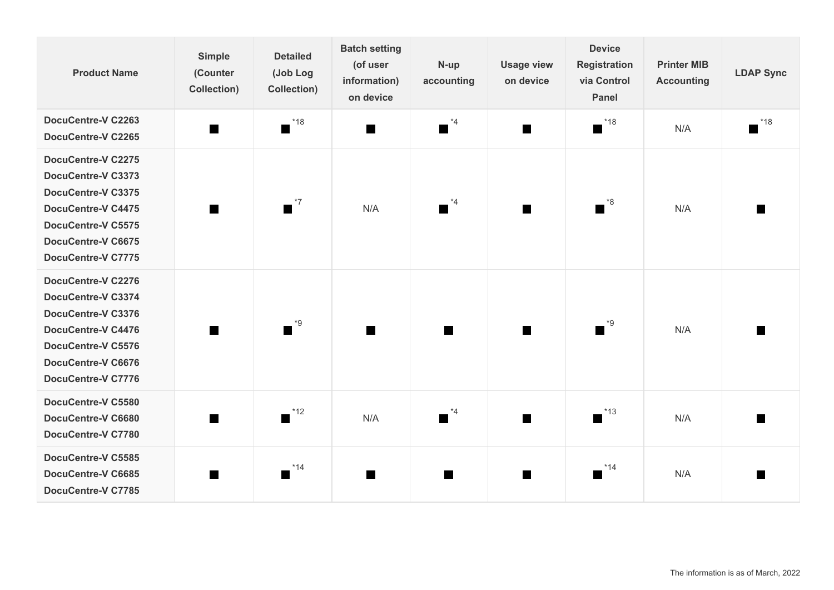| <b>Product Name</b>                                                                                                                                                                              | <b>Simple</b><br>(Counter<br><b>Collection)</b> | <b>Detailed</b><br>(Job Log<br><b>Collection)</b> | <b>Batch setting</b><br>(of user<br>information)<br>on device | N-up<br>accounting | <b>Usage view</b><br>on device | <b>Device</b><br><b>Registration</b><br>via Control<br><b>Panel</b> | <b>Printer MIB</b><br><b>Accounting</b> | <b>LDAP Sync</b> |
|--------------------------------------------------------------------------------------------------------------------------------------------------------------------------------------------------|-------------------------------------------------|---------------------------------------------------|---------------------------------------------------------------|--------------------|--------------------------------|---------------------------------------------------------------------|-----------------------------------------|------------------|
| DocuCentre-V C2263<br><b>DocuCentre-V C2265</b>                                                                                                                                                  | $\blacksquare$                                  | $*18$<br>a s                                      | $\blacksquare$                                                | $*4$               | m.                             | $*18$                                                               | N/A                                     | $*18$            |
| <b>DocuCentre-V C2275</b><br>DocuCentre-V C3373<br>DocuCentre-V C3375<br><b>DocuCentre-V C4475</b><br><b>DocuCentre-V C5575</b><br><b>DocuCentre-V C6675</b><br><b>DocuCentre-V C7775</b>        | <b>The Second</b>                               | $*7$                                              | N/A                                                           | $*4$               |                                | . *8                                                                | N/A                                     |                  |
| <b>DocuCentre-V C2276</b><br>DocuCentre-V C3374<br><b>DocuCentre-V C3376</b><br><b>DocuCentre-V C4476</b><br><b>DocuCentre-V C5576</b><br><b>DocuCentre-V C6676</b><br><b>DocuCentre-V C7776</b> |                                                 | $e^*$                                             | H.                                                            |                    | I T                            |                                                                     | N/A                                     |                  |
| DocuCentre-V C5580<br>DocuCentre-V C6680<br><b>DocuCentre-V C7780</b>                                                                                                                            |                                                 | $*12$<br><b>STAR</b>                              | N/A                                                           | $^*4$              |                                | $^*13$                                                              | N/A                                     |                  |
| <b>DocuCentre-V C5585</b><br><b>DocuCentre-V C6685</b><br><b>DocuCentre-V C7785</b>                                                                                                              |                                                 | $*14$<br>a s                                      |                                                               | ш                  | I II                           | $*14$                                                               | N/A                                     |                  |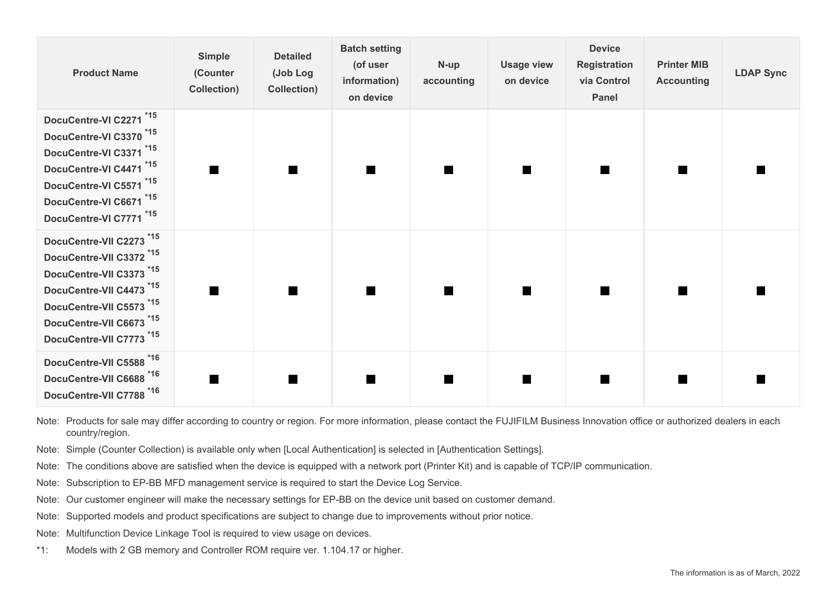| <b>Product Name</b>                                                                                                                                                                                                                              | Simple<br>(Counter<br><b>Collection)</b> | <b>Detailed</b><br>(Job Log<br><b>Collection</b> ) | <b>Batch setting</b><br>(of user<br>information)<br>on device | N-up<br>accounting | <b>Usage view</b><br>on device | <b>Device</b><br><b>Registration</b><br>via Control<br><b>Panel</b> | <b>Printer MIB</b><br><b>Accounting</b> | <b>LDAP Sync</b> |
|--------------------------------------------------------------------------------------------------------------------------------------------------------------------------------------------------------------------------------------------------|------------------------------------------|----------------------------------------------------|---------------------------------------------------------------|--------------------|--------------------------------|---------------------------------------------------------------------|-----------------------------------------|------------------|
| DocuCentre-VI C2271 <sup>*15</sup><br>DocuCentre-VI C3370 <sup>*15</sup><br>DocuCentre-VI C3371 *15<br>DocuCentre-VI C4471 <sup>*15</sup><br>DocuCentre-VI C5571 <sup>*15</sup><br>DocuCentre-VI C6671 <sup>*15</sup><br>DocuCentre-VI C7771 *15 |                                          |                                                    |                                                               |                    |                                |                                                                     |                                         |                  |
| DocuCentre-VII C2273 <sup>*15</sup><br>DocuCentre-VII C3372 <sup>*15</sup><br>DocuCentre-VII C3373 <sup>*15</sup><br>DocuCentre-VII C4473 *15<br>DocuCentre-VII C5573 *15<br>DocuCentre-VII C6673 *15<br>DocuCentre-VII C7773 <sup>*15</sup>     |                                          |                                                    |                                                               |                    |                                |                                                                     |                                         |                  |
| DocuCentre-VII C5588 *16<br>DocuCentre-VII C6688 *16<br>DocuCentre-VII C7788 *16                                                                                                                                                                 |                                          |                                                    |                                                               |                    |                                |                                                                     |                                         |                  |

Note: Products for sale may differ according to country or region. For more information, please contact the FUJIFILM Business Innovation office or authorized dealers in each country/region.

- Note: Simple (Counter Collection) is available only when [Local Authentication] is selected in [Authentication Settings].
- Note: The conditions above are satisfied when the device is equipped with a network port (Printer Kit) and is capable of TCP/IP communication.
- Note: Subscription to EP-BB MFD management service is required to start the Device Log Service.
- Note: Our customer engineer will make the necessary settings for EP-BB on the device unit based on customer demand.
- Note: Supported models and product specifications are subject to change due to improvements without prior notice.
- Note: Multifunction Device Linkage Tool is required to view usage on devices.
- \*1: Models with 2 GB memory and Controller ROM require ver. 1.104.17 or higher.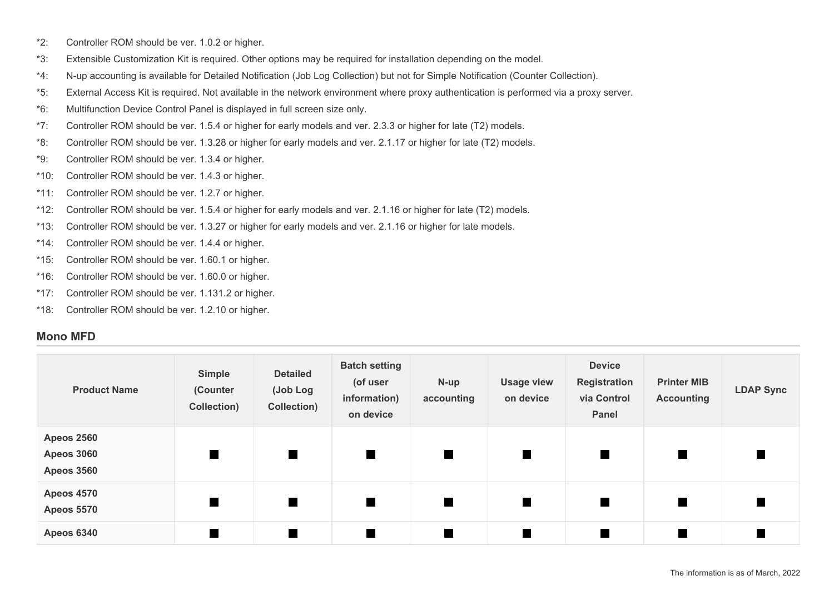- \*2: Controller ROM should be ver. 1.0.2 or higher.
- \*3: Extensible Customization Kit is required. Other options may be required for installation depending on the model.
- \*4: N-up accounting is available for Detailed Notification (Job Log Collection) but not for Simple Notification (Counter Collection).
- \*5: External Access Kit is required. Not available in the network environment where proxy authentication is performed via a proxy server.
- \*6: Multifunction Device Control Panel is displayed in full screen size only.
- \*7: Controller ROM should be ver. 1.5.4 or higher for early models and ver. 2.3.3 or higher for late (T2) models.
- \*8: Controller ROM should be ver. 1.3.28 or higher for early models and ver. 2.1.17 or higher for late (T2) models.
- \*9: Controller ROM should be ver. 1.3.4 or higher.
- \*10: Controller ROM should be ver. 1.4.3 or higher.
- \*11: Controller ROM should be ver. 1.2.7 or higher.
- \*12: Controller ROM should be ver. 1.5.4 or higher for early models and ver. 2.1.16 or higher for late (T2) models.
- \*13: Controller ROM should be ver. 1.3.27 or higher for early models and ver. 2.1.16 or higher for late models.
- \*14: Controller ROM should be ver. 1.4.4 or higher.
- \*15: Controller ROM should be ver. 1.60.1 or higher.
- \*16: Controller ROM should be ver. 1.60.0 or higher.
- \*17: Controller ROM should be ver. 1.131.2 or higher.
- \*18: Controller ROM should be ver. 1.2.10 or higher.

### **Mono MFD**

| <b>Product Name</b>                                         | Simple<br>(Counter<br>Collection) | <b>Detailed</b><br>(Job Log<br>Collection) | <b>Batch setting</b><br>(of user<br>information)<br>on device | N-up<br>accounting | <b>Usage view</b><br>on device | <b>Device</b><br><b>Registration</b><br>via Control<br>Panel | <b>Printer MIB</b><br><b>Accounting</b> | <b>LDAP Sync</b> |
|-------------------------------------------------------------|-----------------------------------|--------------------------------------------|---------------------------------------------------------------|--------------------|--------------------------------|--------------------------------------------------------------|-----------------------------------------|------------------|
| <b>Apeos 2560</b><br><b>Apeos 3060</b><br><b>Apeos 3560</b> | $\blacksquare$                    | $\blacksquare$                             | $\blacksquare$                                                | $\blacksquare$     | П                              | $\blacksquare$                                               |                                         |                  |
| <b>Apeos 4570</b><br><b>Apeos 5570</b>                      | $\blacksquare$                    | $\blacksquare$                             | $\blacksquare$                                                | $\blacksquare$     |                                | $\blacksquare$                                               |                                         | H                |
| <b>Apeos 6340</b>                                           |                                   |                                            |                                                               |                    |                                |                                                              |                                         |                  |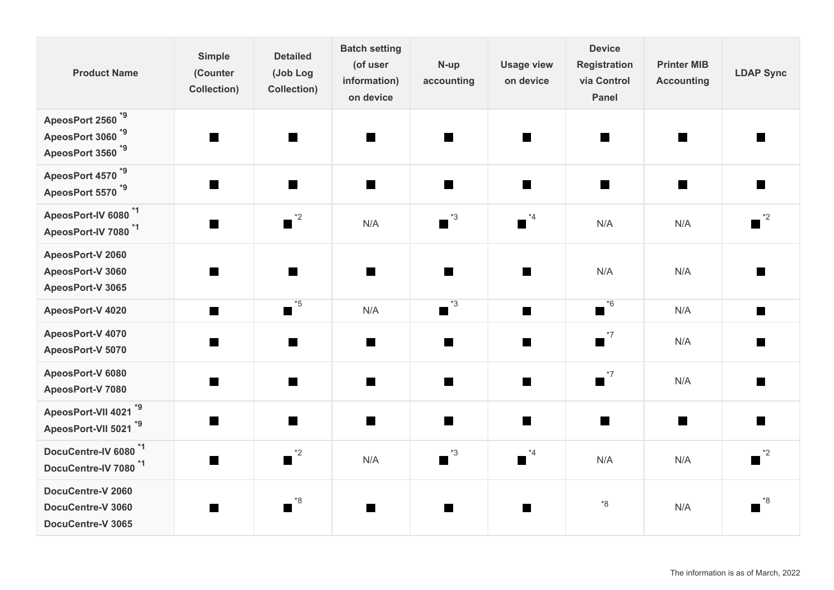| <b>Product Name</b>                                                                          | <b>Simple</b><br>(Counter<br><b>Collection)</b> | <b>Detailed</b><br>(Job Log<br><b>Collection)</b> | <b>Batch setting</b><br>(of user<br>information)<br>on device | N-up<br>accounting           | <b>Usage view</b><br>on device | <b>Device</b><br><b>Registration</b><br>via Control<br>Panel | <b>Printer MIB</b><br><b>Accounting</b> | <b>LDAP Sync</b>              |
|----------------------------------------------------------------------------------------------|-------------------------------------------------|---------------------------------------------------|---------------------------------------------------------------|------------------------------|--------------------------------|--------------------------------------------------------------|-----------------------------------------|-------------------------------|
| ApeosPort 2560 <sup>*9</sup><br>ApeosPort 3060 <sup>*9</sup><br>ApeosPort 3560 <sup>*9</sup> | <b>The State</b>                                | <b>Ta</b>                                         | $\blacksquare$                                                | m.                           | <b>Ta</b>                      | $\blacksquare$                                               | ш                                       | a se                          |
| ApeosPort 4570 <sup>*9</sup><br>ApeosPort 5570 <sup>*9</sup>                                 | <b>The State</b>                                | $\blacksquare$                                    | $\blacksquare$                                                | n                            | $\blacksquare$                 | $\blacksquare$                                               | $\blacksquare$                          |                               |
| ApeosPort-IV 6080 <sup>*1</sup><br>ApeosPort-IV 7080 <sup>*1</sup>                           | <b>The State</b>                                | $^*2$<br>$\blacksquare$                           | N/A                                                           | $^{\ast}3$<br>П              | $^*4$<br>$\blacksquare$        | N/A                                                          | N/A                                     | $^*2$<br>H                    |
| ApeosPort-V 2060<br>ApeosPort-V 3060<br>ApeosPort-V 3065                                     | a se                                            | H                                                 | $\Box$                                                        | m                            | H                              | N/A                                                          | N/A                                     |                               |
| ApeosPort-V 4020                                                                             | H                                               | $^*$ 5<br>$\blacksquare$                          | N/A                                                           | $^{\ast}3$<br>$\blacksquare$ |                                | $^*6$<br>$\blacksquare$                                      | N/A                                     | H                             |
| ApeosPort-V 4070<br>ApeosPort-V 5070                                                         |                                                 | <b>Ta</b>                                         | $\Box$                                                        | ■                            | $\blacksquare$                 | $\overline{\phantom{a}}^{*7}$                                | N/A                                     |                               |
| ApeosPort-V 6080<br>ApeosPort-V 7080                                                         | <b>The Second</b>                               | $\blacksquare$                                    | $\Box$                                                        | T.                           | $\blacksquare$                 | $\overline{\phantom{a}}^{*7}$                                | N/A                                     |                               |
| ApeosPort-VII 4021 <sup>*9</sup><br>ApeosPort-VII 5021 *9                                    |                                                 | $\blacksquare$                                    | H                                                             | П                            | $\blacksquare$                 | $\blacksquare$                                               | $\blacksquare$                          | H                             |
| DocuCentre-IV 6080 <sup>*1</sup><br>DocuCentre-IV 7080 <sup>*1</sup>                         | $\blacksquare$                                  | $\overline{\phantom{a}}^{*2}$                     | N/A                                                           | $^{\ast}3$<br>$\blacksquare$ | $*_{4}$<br>$\blacksquare$      | N/A                                                          | N/A                                     | $\overline{\phantom{a}}^{*2}$ |
| DocuCentre-V 2060<br>DocuCentre-V 3060<br>DocuCentre-V 3065                                  |                                                 | $^{\ast}8$<br><b>The State</b>                    | H                                                             | m                            | H                              | $8*$                                                         | N/A                                     | *8<br><b>The State</b>        |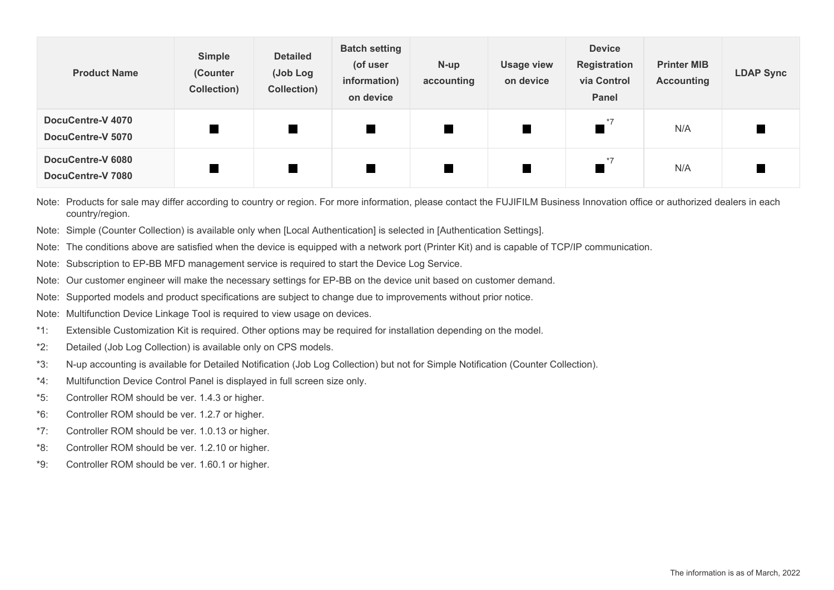| <b>Product Name</b>                    | Simple<br>(Counter<br>Collection) | <b>Detailed</b><br>(Job Log<br>Collection) | <b>Batch setting</b><br>(of user<br>information)<br>on device | N-up<br>accounting | <b>Usage view</b><br>on device | <b>Device</b><br><b>Registration</b><br>via Control<br>Panel | <b>Printer MIB</b><br><b>Accounting</b> | <b>LDAP Sync</b> |
|----------------------------------------|-----------------------------------|--------------------------------------------|---------------------------------------------------------------|--------------------|--------------------------------|--------------------------------------------------------------|-----------------------------------------|------------------|
| DocuCentre-V 4070<br>DocuCentre-V 5070 |                                   |                                            | $\blacksquare$                                                |                    |                                | $*7$                                                         | N/A                                     |                  |
| DocuCentre-V 6080<br>DocuCentre-V 7080 |                                   |                                            | $\blacksquare$                                                |                    |                                | $*7$                                                         | N/A                                     |                  |

Note: Products for sale may differ according to country or region. For more information, please contact the FUJIFILM Business Innovation office or authorized dealers in each country/region.

Note: Simple (Counter Collection) is available only when [Local Authentication] is selected in [Authentication Settings].

Note: The conditions above are satisfied when the device is equipped with a network port (Printer Kit) and is capable of TCP/IP communication.

Note: Subscription to EP-BB MFD management service is required to start the Device Log Service.

Note: Our customer engineer will make the necessary settings for EP-BB on the device unit based on customer demand.

Note: Supported models and product specifications are subject to change due to improvements without prior notice.

Note: Multifunction Device Linkage Tool is required to view usage on devices.

\*1: Extensible Customization Kit is required. Other options may be required for installation depending on the model.

\*2: Detailed (Job Log Collection) is available only on CPS models.

\*3: N-up accounting is available for Detailed Notification (Job Log Collection) but not for Simple Notification (Counter Collection).

\*4: Multifunction Device Control Panel is displayed in full screen size only.

\*5: Controller ROM should be ver. 1.4.3 or higher.

\*6: Controller ROM should be ver. 1.2.7 or higher.

\*7: Controller ROM should be ver. 1.0.13 or higher.

\*8: Controller ROM should be ver. 1.2.10 or higher.

\*9: Controller ROM should be ver. 1.60.1 or higher.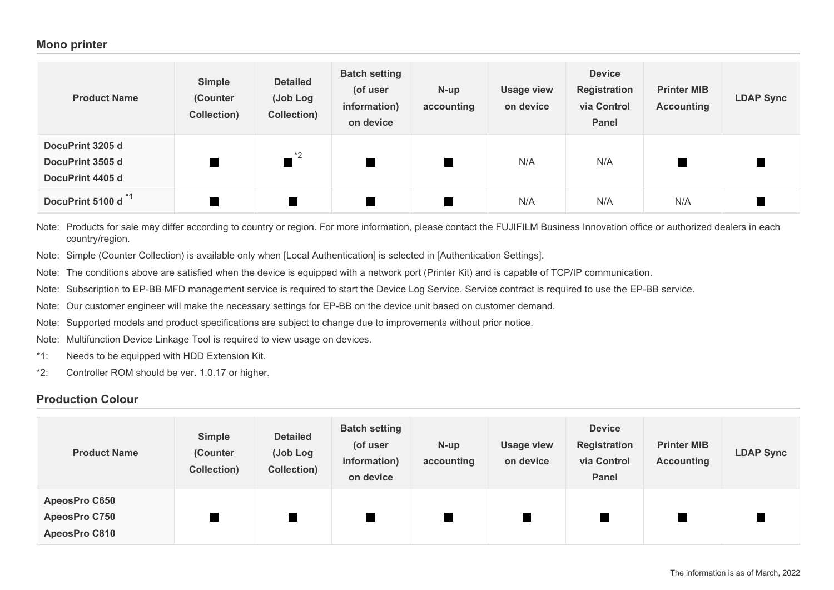#### **Mono printer**

| <b>Product Name</b>                                      | Simple<br>(Counter<br>Collection) | <b>Detailed</b><br>(Job Log<br>Collection) | <b>Batch setting</b><br>(of user<br>information)<br>on device | $N$ -up<br>accounting | <b>Usage view</b><br>on device | <b>Device</b><br><b>Registration</b><br>via Control<br><b>Panel</b> | <b>Printer MIB</b><br><b>Accounting</b> | <b>LDAP Sync</b> |
|----------------------------------------------------------|-----------------------------------|--------------------------------------------|---------------------------------------------------------------|-----------------------|--------------------------------|---------------------------------------------------------------------|-----------------------------------------|------------------|
| DocuPrint 3205 d<br>DocuPrint 3505 d<br>DocuPrint 4405 d |                                   | *2<br>$\blacksquare$                       | $\blacksquare$                                                |                       | N/A                            | N/A                                                                 |                                         |                  |
| DocuPrint 5100 d <sup>*1</sup>                           |                                   |                                            | $\blacksquare$                                                |                       | N/A                            | N/A                                                                 | N/A                                     |                  |

Note: Products for sale may differ according to country or region. For more information, please contact the FUJIFILM Business Innovation office or authorized dealers in each country/region.

Note: Simple (Counter Collection) is available only when [Local Authentication] is selected in [Authentication Settings].

Note: The conditions above are satisfied when the device is equipped with a network port (Printer Kit) and is capable of TCP/IP communication.

Note: Subscription to EP-BB MFD management service is required to start the Device Log Service. Service contract is required to use the EP-BB service.

Note: Our customer engineer will make the necessary settings for EP-BB on the device unit based on customer demand.

Note: Supported models and product specifications are subject to change due to improvements without prior notice.

Note: Multifunction Device Linkage Tool is required to view usage on devices.

\*1: Needs to be equipped with HDD Extension Kit.

\*2: Controller ROM should be ver. 1.0.17 or higher.

## **Production Colour**

| <b>Product Name</b>                                                  | Simple<br>(Counter<br><b>Collection)</b> | <b>Detailed</b><br>(Job Log<br>Collection) | <b>Batch setting</b><br>(of user<br>information)<br>on device | $N-up$<br>accounting | <b>Usage view</b><br>on device | <b>Device</b><br><b>Registration</b><br>via Control<br>Panel | <b>Printer MIB</b><br><b>Accounting</b> | <b>LDAP Sync</b> |
|----------------------------------------------------------------------|------------------------------------------|--------------------------------------------|---------------------------------------------------------------|----------------------|--------------------------------|--------------------------------------------------------------|-----------------------------------------|------------------|
| <b>ApeosPro C650</b><br><b>ApeosPro C750</b><br><b>ApeosPro C810</b> |                                          |                                            |                                                               |                      |                                |                                                              |                                         |                  |